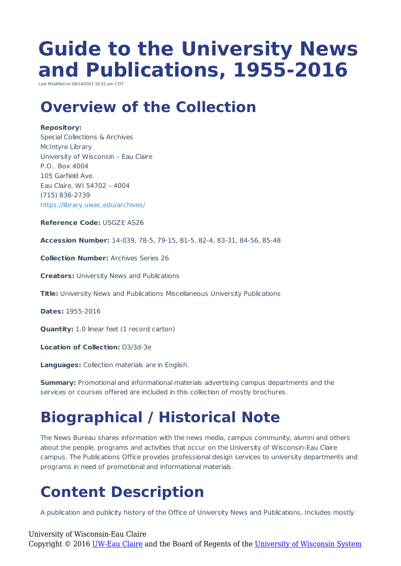# **Guide to the University News and Publications, 1955-2016**

Last Modified on 09/14/2021 10:51 am C

### **Overview of the Collection**

#### **Repository:**

Special Collections & Archives McIntyre Library University of Wisconsin – Eau Claire P.O. Box 4004 105 Garfield Ave. Eau Claire, WI 54702 – 4004 (715) 836-2739 https://library.uwec.edu/archives/

**Reference Code:** USGZE AS26

**Accession Number:** 14-039, 78-5, 79-15, 81-5, 82-4, 83-31, 84-56, 85-48

**Collection Number:** Archives Series 26

**Creators:** University News and Publications

**Title:** University News and Publications Miscellaneous University Publications

**Dates:** 1955-2016

**Quantity:** 1.0 linear feet (1 record carton)

**Location of Collection:** D3/3d-3e

**Languages:** Collection materials are in English.

**Summary:** Promotional and informational materials advertising campus departments and the services or courses offered are included in this collection of mostly brochures.

## **Biographical / Historical Note**

The News Bureau shares information with the news media, campus community, alumni and others about the people, programs and activities that occur on the University of Wisconsin-Eau Claire campus. The Publications Office provides professional design services to university departments and programs in need of promotional and informational materials.

### **Content Description**

A publication and publicity history of the Office of University News and Publications. Includes mostly

#### University of Wisconsin-Eau Claire

Copyright © 2016 [UW-Eau Claire](http://www.uwec.edu) and the Board of Regents of the [University of Wisconsin System](http://www.uwsa.edu/)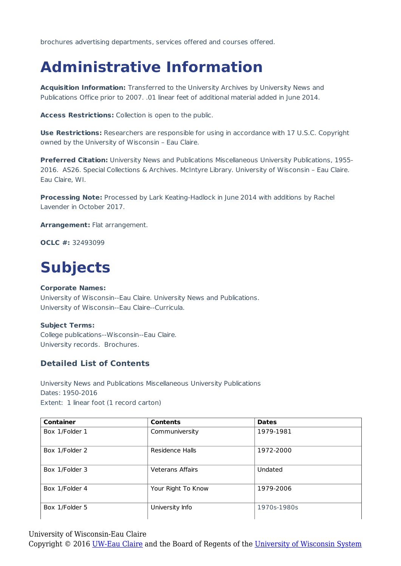brochures advertising departments, services offered and courses offered.

### **Administrative Information**

**Acquisition Information:** Transferred to the University Archives by University News and Publications Office prior to 2007. .01 linear feet of additional material added in June 2014.

**Access Restrictions:** Collection is open to the public.

**Use Restrictions:** Researchers are responsible for using in accordance with 17 U.S.C. Copyright owned by the University of Wisconsin – Eau Claire.

**Preferred Citation:** University News and Publications Miscellaneous University Publications, 1955- 2016. AS26. Special Collections & Archives. McIntyre Library. University of Wisconsin – Eau Claire. Eau Claire, WI.

**Processing Note:** Processed by Lark Keating-Hadlock in June 2014 with additions by Rachel Lavender in October 2017.

**Arrangement:** Flat arrangement.

**OCLC #:** 32493099

### **Subjects**

#### **Corporate Names:**

University of Wisconsin--Eau Claire. University News and Publications. University of Wisconsin--Eau Claire--Curricula.

#### **Subject Terms:**

College publications--Wisconsin--Eau Claire. University records. Brochures.

#### **Detailed List of Contents**

University News and Publications Miscellaneous University Publications Dates: 1950-2016 Extent: 1 linear foot (1 record carton)

| <b>Container</b> | <b>Contents</b>         | <b>Dates</b> |
|------------------|-------------------------|--------------|
| Box 1/Folder 1   | Communiversity          | 1979-1981    |
| Box 1/Folder 2   | Residence Halls         | 1972-2000    |
| Box 1/Folder 3   | <b>Veterans Affairs</b> | Undated      |
| Box 1/Folder 4   | Your Right To Know      | 1979-2006    |
| Box 1/Folder 5   | University Info         | 1970s-1980s  |

University of Wisconsin-Eau Claire

Copyright © 2016 [UW-Eau Claire](http://www.uwec.edu) and the Board of Regents of the [University of Wisconsin System](http://www.uwsa.edu/)